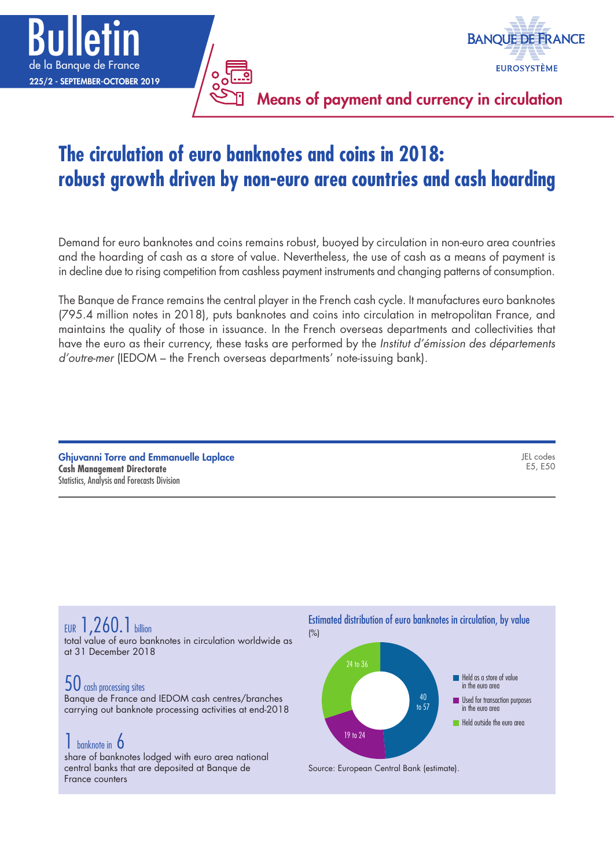



Means of payment and currency in circulation

# **The circulation of euro banknotes and coins in 2018: robust growth driven by non-euro area countries and cash hoarding**

Demand for euro banknotes and coins remains robust, buoyed by circulation in non-euro area countries and the hoarding of cash as a store of value. Nevertheless, the use of cash as a means of payment is in decline due to rising competition from cashless payment instruments and changing patterns of consumption.

The Banque de France remains the central player in the French cash cycle. It manufactures euro banknotes (795.4 million notes in 2018), puts banknotes and coins into circulation in metropolitan France, and maintains the quality of those in issuance. In the French overseas departments and collectivities that have the euro as their currency, these tasks are performed by the *Institut d'émission des départements d'outre-mer* (IEDOM – the French overseas departments' note-issuing bank).

Ghjuvanni Torre and Emmanuelle Laplace **Cash Management Directorate** Statistics, Analysis and Forecasts Division

JEL codes E5, E50

# EUR 1,260.1 billion

total value of euro banknotes in circulation worldwide as at 31 December 2018

# 50 cash processing sites

Banque de France and IEDOM cash centres/branches carrying out banknote processing activities at end-2018

# **1** banknote in **6**

share of banknotes lodged with euro area national central banks that are deposited at Banque de France counters

# Estimated distribution of euro banknotes in circulation, by value



Source: European Central Bank (estimate).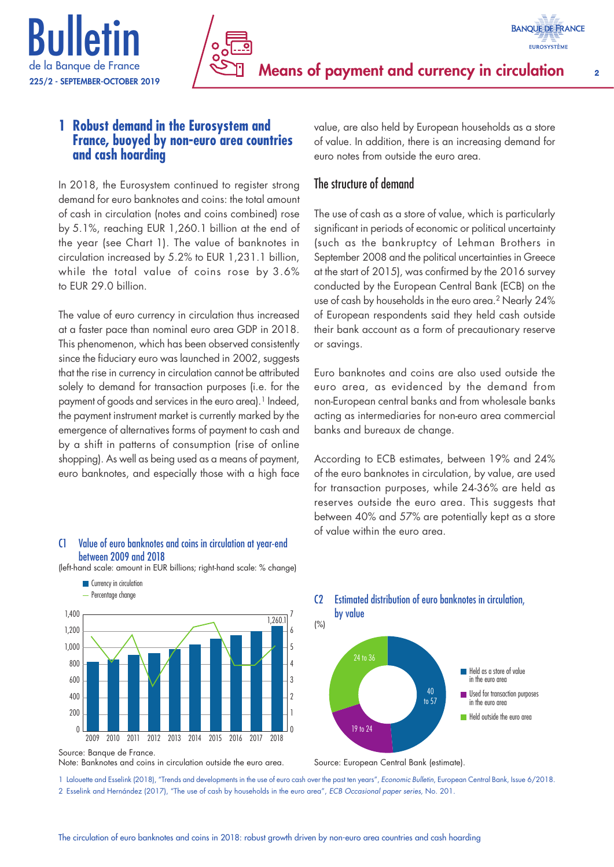



## **1 Robust demand in the Eurosystem and France, buoyed by non-euro area countries and cash hoarding**

In 2018, the Eurosystem continued to register strong demand for euro banknotes and coins: the total amount of cash in circulation (notes and coins combined) rose by 5.1%, reaching EUR 1,260.1 billion at the end of the year (see Chart 1). The value of banknotes in circulation increased by 5.2% to EUR 1,231.1 billion, while the total value of coins rose by 3.6% to EUR 29.0 billion.

The value of euro currency in circulation thus increased at a faster pace than nominal euro area GDP in 2018. This phenomenon, which has been observed consistently since the fiduciary euro was launched in 2002, suggests that the rise in currency in circulation cannot be attributed solely to demand for transaction purposes (i.e. for the payment of goods and services in the euro area).<sup>1</sup> Indeed, the payment instrument market is currently marked by the emergence of alternatives forms of payment to cash and by a shift in patterns of consumption (rise of online shopping). As well as being used as a means of payment, euro banknotes, and especially those with a high face

#### C1 Value of euro banknotes and coins in circulation at year-end between 2009 and 2018

(left-hand scale: amount in EUR billions; right-hand scale: % change)



Source: Banque de France.

**Currency in circulation** 

Note: Banknotes and coins in circulation outside the euro area.

value, are also held by European households as a store of value. In addition, there is an increasing demand for euro notes from outside the euro area.

### The structure of demand

The use of cash as a store of value, which is particularly significant in periods of economic or political uncertainty (such as the bankruptcy of Lehman Brothers in September 2008 and the political uncertainties in Greece at the start of 2015), was confirmed by the 2016 survey conducted by the European Central Bank (ECB) on the use of cash by households in the euro area.<sup>2</sup> Nearly 24% of European respondents said they held cash outside their bank account as a form of precautionary reserve or savings.

Euro banknotes and coins are also used outside the euro area, as evidenced by the demand from non-European central banks and from wholesale banks acting as intermediaries for non-euro area commercial banks and bureaux de change.

According to ECB estimates, between 19% and 24% of the euro banknotes in circulation, by value, are used for transaction purposes, while 24-36% are held as reserves outside the euro area. This suggests that between 40% and 57% are potentially kept as a store of value within the euro area.

C2 Estimated distribution of euro banknotes in circulation, by value



Source: European Central Bank (estimate).

1 Lalouette and Esselink (2018), "Trends and developments in the use of euro cash over the past ten years", *Economic Bulletin*, European Central Bank, Issue 6/2018. 2 Esselink and Hernández (2017), "The use of cash by households in the euro area", *ECB Occasional paper series*, No. 201.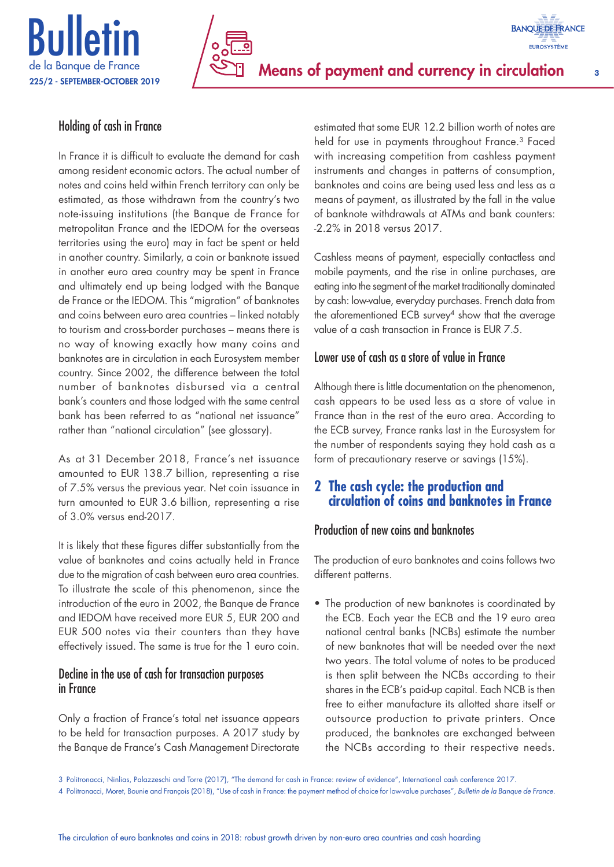

# Means of payment and currency in circulation 3

## Holding of cash in France

In France it is difficult to evaluate the demand for cash among resident economic actors. The actual number of notes and coins held within French territory can only be estimated, as those withdrawn from the country's two note-issuing institutions (the Banque de France for metropolitan France and the IEDOM for the overseas territories using the euro) may in fact be spent or held in another country. Similarly, a coin or banknote issued in another euro area country may be spent in France and ultimately end up being lodged with the Banque de France or the IEDOM. This "migration" of banknotes and coins between euro area countries – linked notably to tourism and cross-border purchases – means there is no way of knowing exactly how many coins and banknotes are in circulation in each Eurosystem member country. Since 2002, the difference between the total number of banknotes disbursed via a central bank's counters and those lodged with the same central bank has been referred to as "national net issuance" rather than "national circulation" (see glossary).

As at 31 December 2018, France's net issuance amounted to EUR 138.7 billion, representing a rise of 7.5% versus the previous year. Net coin issuance in turn amounted to EUR 3.6 billion, representing a rise of 3.0% versus end-2017.

It is likely that these figures differ substantially from the value of banknotes and coins actually held in France due to the migration of cash between euro area countries. To illustrate the scale of this phenomenon, since the introduction of the euro in 2002, the Banque de France and IEDOM have received more EUR 5, EUR 200 and EUR 500 notes via their counters than they have effectively issued. The same is true for the 1 euro coin.

### Decline in the use of cash for transaction purposes in France

Only a fraction of France's total net issuance appears to be held for transaction purposes. A 2017 study by the Banque de France's Cash Management Directorate

estimated that some EUR 12.2 billion worth of notes are held for use in payments throughout France.<sup>3</sup> Faced with increasing competition from cashless payment instruments and changes in patterns of consumption, banknotes and coins are being used less and less as a means of payment, as illustrated by the fall in the value of banknote withdrawals at ATMs and bank counters: -2.2% in 2018 versus 2017.

**BANQUE DE FRANCE EUROSYSTÈME** 

Cashless means of payment, especially contactless and mobile payments, and the rise in online purchases, are eating into the segment of the market traditionally dominated by cash: low-value, everyday purchases. French data from the aforementioned ECB survey<sup>4</sup> show that the average value of a cash transaction in France is EUR 7.5.

## Lower use of cash as a store of value in France

Although there is little documentation on the phenomenon, cash appears to be used less as a store of value in France than in the rest of the euro area. According to the ECB survey, France ranks last in the Eurosystem for the number of respondents saying they hold cash as a form of precautionary reserve or savings (15%).

## **2 The cash cycle: the production and circulation of coins and banknotes in France**

# Production of new coins and banknotes

The production of euro banknotes and coins follows two different patterns.

• The production of new banknotes is coordinated by the ECB. Each year the ECB and the 19 euro area national central banks (NCBs) estimate the number of new banknotes that will be needed over the next two years. The total volume of notes to be produced is then split between the NCBs according to their shares in the ECB's paid-up capital. Each NCB is then free to either manufacture its allotted share itself or outsource production to private printers. Once produced, the banknotes are exchanged between the NCBs according to their respective needs.

<sup>3</sup> Politronacci, Ninlias, Palazzeschi and Torre (2017), "The demand for cash in France: review of evidence", International cash conference 2017.

<sup>4</sup> Politronacci, Moret, Bounie and François (2018), "Use of cash in France: the payment method of choice for low-value purchases", *Bulletin de la Banque de France*.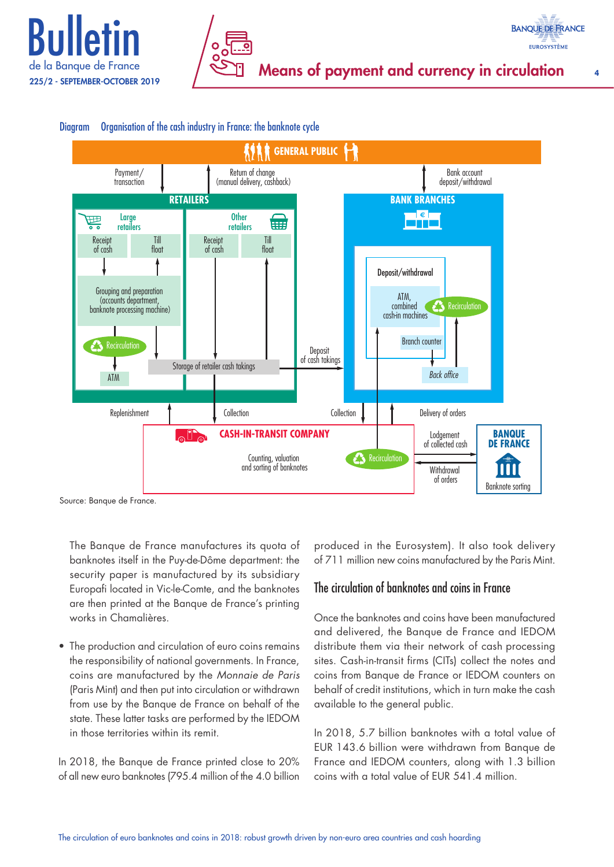





#### Diagram Organisation of the cash industry in France: the banknote cycle

Source: Banque de France.

The Banque de France manufactures its quota of banknotes itself in the Puy-de-Dôme department: the security paper is manufactured by its subsidiary Europafi located in Vic-le-Comte, and the banknotes are then printed at the Banque de France's printing works in Chamalières.

• The production and circulation of euro coins remains the responsibility of national governments. In France, coins are manufactured by the *Monnaie de Paris*  (Paris Mint) and then put into circulation or withdrawn from use by the Banque de France on behalf of the state. These latter tasks are performed by the IEDOM in those territories within its remit.

In 2018, the Banque de France printed close to 20% of all new euro banknotes (795.4 million of the 4.0 billion

produced in the Eurosystem). It also took delivery of 711 million new coins manufactured by the Paris Mint.

## The circulation of banknotes and coins in France

Once the banknotes and coins have been manufactured and delivered, the Banque de France and IEDOM distribute them via their network of cash processing sites. Cash-in-transit firms (CITs) collect the notes and coins from Banque de France or IEDOM counters on behalf of credit institutions, which in turn make the cash available to the general public.

In 2018, 5.7 billion banknotes with a total value of EUR 143.6 billion were withdrawn from Banque de France and IEDOM counters, along with 1.3 billion coins with a total value of  $FUR 541.4$  million.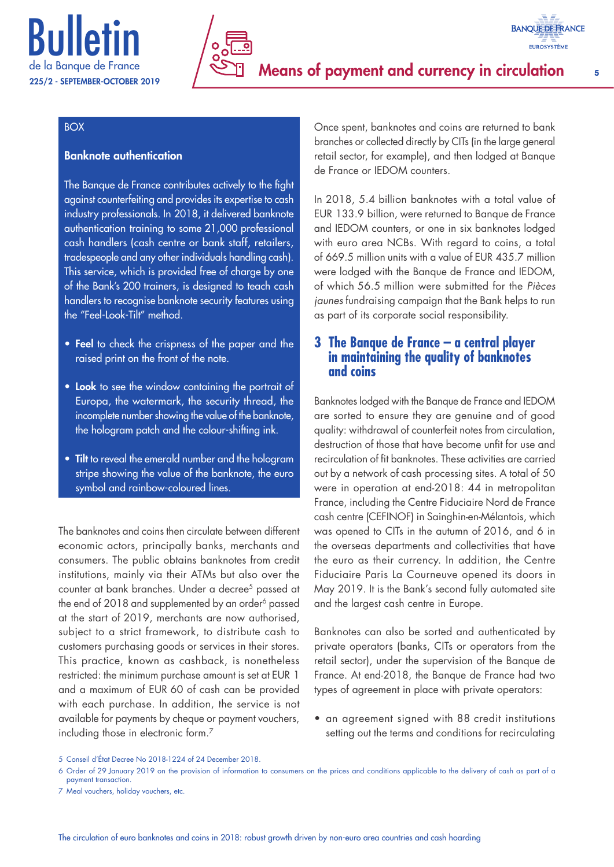



#### BOX

#### Banknote authentication

The Banque de France contributes actively to the fight against counterfeiting and provides its expertise to cash industry professionals. In 2018, it delivered banknote authentication training to some 21,000 professional cash handlers (cash centre or bank staff, retailers, tradespeople and any other individuals handling cash). This service, which is provided free of charge by one of the Bank's 200 trainers, is designed to teach cash handlers to recognise banknote security features using the "Feel-Look-Tilt" method.

- Feel to check the crispness of the paper and the raised print on the front of the note.
- Look to see the window containing the portrait of Europa, the watermark, the security thread, the incomplete number showing the value of the banknote, the hologram patch and the colour-shifting ink.
- Tilt to reveal the emerald number and the hologram stripe showing the value of the banknote, the euro symbol and rainbow-coloured lines.

The banknotes and coins then circulate between different economic actors, principally banks, merchants and consumers. The public obtains banknotes from credit institutions, mainly via their ATMs but also over the counter at bank branches. Under a decree5 passed at the end of 2018 and supplemented by an order<sup>6</sup> passed at the start of 2019, merchants are now authorised, subject to a strict framework, to distribute cash to customers purchasing goods or services in their stores. This practice, known as cashback, is nonetheless restricted: the minimum purchase amount is set at EUR 1 and a maximum of EUR 60 of cash can be provided with each purchase. In addition, the service is not available for payments by cheque or payment vouchers, including those in electronic form.7

Once spent, banknotes and coins are returned to bank branches or collected directly by CITs (in the large general retail sector, for example), and then lodged at Banque de France or IEDOM counters.

**BANQUE DE FRANCE EUROSYSTÈME** 

In 2018, 5.4 billion banknotes with a total value of EUR 133.9 billion, were returned to Banque de France and IEDOM counters, or one in six banknotes lodged with euro area NCBs. With regard to coins, a total of 669.5 million units with a value of EUR 435.7 million were lodged with the Banque de France and IEDOM, of which 56.5 million were submitted for the *Pièces jaunes* fundraising campaign that the Bank helps to run as part of its corporate social responsibility.

### **3 The Banque de France – a central player in maintaining the quality of banknotes and coins**

Banknotes lodged with the Banque de France and IEDOM are sorted to ensure they are genuine and of good quality: withdrawal of counterfeit notes from circulation, destruction of those that have become unfit for use and recirculation of fit banknotes. These activities are carried out by a network of cash processing sites. A total of 50 were in operation at end-2018: 44 in metropolitan France, including the Centre Fiduciaire Nord de France cash centre (CEFINOF) in Sainghin-en-Mélantois, which was opened to CITs in the autumn of 2016, and 6 in the overseas departments and collectivities that have the euro as their currency. In addition, the Centre Fiduciaire Paris La Courneuve opened its doors in May 2019. It is the Bank's second fully automated site and the largest cash centre in Europe.

Banknotes can also be sorted and authenticated by private operators (banks, CITs or operators from the retail sector), under the supervision of the Banque de France. At end-2018, the Banque de France had two types of agreement in place with private operators:

• an agreement signed with 88 credit institutions setting out the terms and conditions for recirculating

<sup>5</sup> Conseil d'État Decree No 2018-1224 of 24 December 2018.

<sup>6</sup> Order of 29 January 2019 on the provision of information to consumers on the prices and conditions applicable to the delivery of cash as part of a payment transaction.

<sup>7</sup> Meal vouchers, holiday vouchers, etc.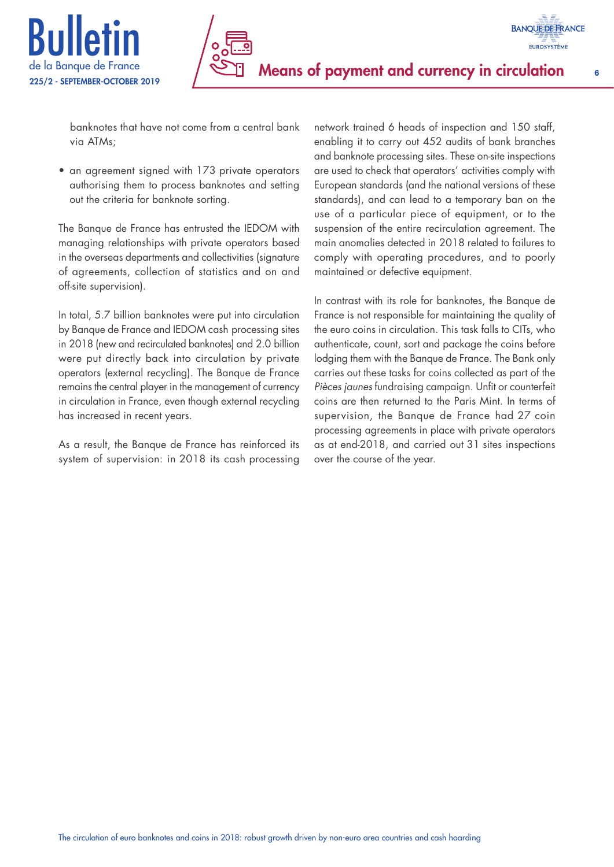

banknotes that have not come from a central bank via ATMs;

• an agreement signed with 173 private operators authorising them to process banknotes and setting out the criteria for banknote sorting.

The Banque de France has entrusted the IEDOM with managing relationships with private operators based in the overseas departments and collectivities (signature of agreements, collection of statistics and on and off-site supervision).

In total, 5.7 billion banknotes were put into circulation by Banque de France and IEDOM cash processing sites in 2018 (new and recirculated banknotes) and 2.0 billion were put directly back into circulation by private operators (external recycling). The Banque de France remains the central player in the management of currency in circulation in France, even though external recycling has increased in recent years.

As a result, the Banque de France has reinforced its system of supervision: in 2018 its cash processing network trained 6 heads of inspection and 150 staff, enabling it to carry out 452 audits of bank branches and banknote processing sites. These on-site inspections are used to check that operators' activities comply with European standards (and the national versions of these standards), and can lead to a temporary ban on the use of a particular piece of equipment, or to the suspension of the entire recirculation agreement. The main anomalies detected in 2018 related to failures to comply with operating procedures, and to poorly maintained or defective equipment.

In contrast with its role for banknotes, the Banque de France is not responsible for maintaining the quality of the euro coins in circulation. This task falls to CITs, who authenticate, count, sort and package the coins before lodging them with the Banque de France. The Bank only carries out these tasks for coins collected as part of the *Pièces jaunes* fundraising campaign. Unfit or counterfeit coins are then returned to the Paris Mint. In terms of supervision, the Banque de France had 27 coin processing agreements in place with private operators as at end-2018, and carried out 31 sites inspections over the course of the year.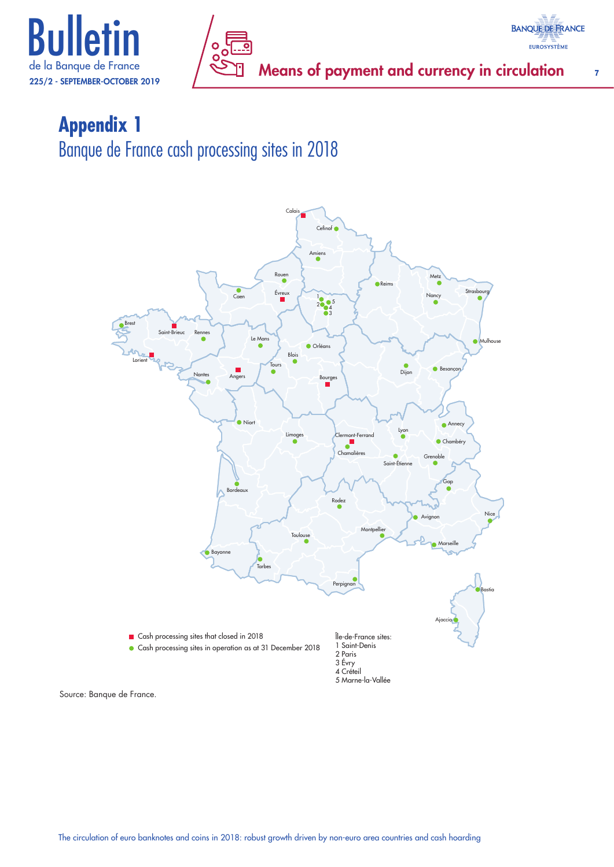



# **Appendix 1** Banque de France cash processing sites in 2018



Source: Banque de France.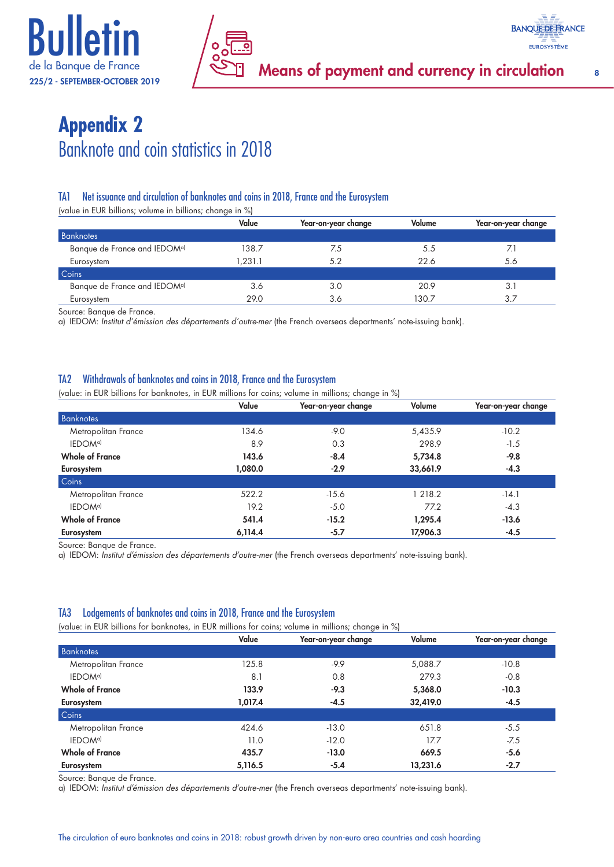

# **Appendix 2** Banknote and coin statistics in 2018

### TA1 Net issuance and circulation of banknotes and coins in 2018, France and the Eurosystem

(value in EUR billions; volume in billions; change in %)

|                                          | Value   | Year-on-year change | Volume | Year-on-year change |  |  |  |
|------------------------------------------|---------|---------------------|--------|---------------------|--|--|--|
| Banknotes                                |         |                     |        |                     |  |  |  |
| Banque de France and IEDOM <sup>a)</sup> | 138.7   | 7.5                 | 5.5    | 7.1                 |  |  |  |
| Eurosystem                               | 1.231.1 | 5.2                 | 22.6   | 5.6                 |  |  |  |
| Coins                                    |         |                     |        |                     |  |  |  |
| Banque de France and IEDOM <sup>a)</sup> | 3.6     | 3.0                 | 20.9   | 3.                  |  |  |  |
| Eurosystem                               | 29.0    | 3.6                 | 130.7  | 3.7                 |  |  |  |

Source: Banque de France.

a) IEDOM: *Institut d'émission des départements d'outre-mer* (the French overseas departments' note-issuing bank).

#### TA2 Withdrawals of banknotes and coins in 2018, France and the Eurosystem

(value: in EUR billions for banknotes, in EUR millions for coins; volume in millions; change in %)

|                        |         | ັ                   |          |                     |
|------------------------|---------|---------------------|----------|---------------------|
|                        | Value   | Year-on-year change | Volume   | Year-on-year change |
| <b>Banknotes</b>       |         |                     |          |                     |
| Metropolitan France    | 134.6   | $-9.0$              | 5,435.9  | $-10.2$             |
| IEDOM <sup>a)</sup>    | 8.9     | 0.3                 | 298.9    | $-1.5$              |
| <b>Whole of France</b> | 143.6   | $-8.4$              | 5,734.8  | $-9.8$              |
| Eurosystem             | 1,080.0 | $-2.9$              | 33,661.9 | $-4.3$              |
| Coins                  |         |                     |          |                     |
| Metropolitan France    | 522.2   | $-15.6$             | 218.2    | $-14.1$             |
| IEDOM <sup>a)</sup>    | 19.2    | $-5.0$              | 77.2     | $-4.3$              |
| <b>Whole of France</b> | 541.4   | $-15.2$             | 1,295.4  | $-13.6$             |
| Eurosystem             | 6,114.4 | $-5.7$              | 17,906.3 | $-4.5$              |

Source: Banque de France.

a) IEDOM: *Institut d'émission des départements d'outre-mer* (the French overseas departments' note-issuing bank).

#### TA3 Lodgements of banknotes and coins in 2018, France and the Eurosystem

(value: in EUR billions for banknotes, in EUR millions for coins; volume in millions; change in %)

|                        | Value   | Year-on-year change | Volume   | Year-on-year change |
|------------------------|---------|---------------------|----------|---------------------|
| <b>Banknotes</b>       |         |                     |          |                     |
| Metropolitan France    | 125.8   | -9.9                | 5,088.7  | $-10.8$             |
| IEDOM <sup>a)</sup>    | 8.1     | 0.8                 | 279.3    | $-0.8$              |
| <b>Whole of France</b> | 133.9   | $-9.3$              | 5,368.0  | $-10.3$             |
| Eurosystem             | 1,017.4 | $-4.5$              | 32,419.0 | $-4.5$              |
| Coins                  |         |                     |          |                     |
| Metropolitan France    | 424.6   | $-13.0$             | 651.8    | $-5.5$              |
| IEDOM <sup>a)</sup>    | 11.0    | $-12.0$             | 17.7     | $-7.5$              |
| <b>Whole of France</b> | 435.7   | $-13.0$             | 669.5    | $-5.6$              |
| Eurosystem             | 5,116.5 | $-5.4$              | 13,231.6 | $-2.7$              |

Source: Banque de France.

a) IEDOM: *Institut d'émission des départements d'outre-mer* (the French overseas departments' note-issuing bank).